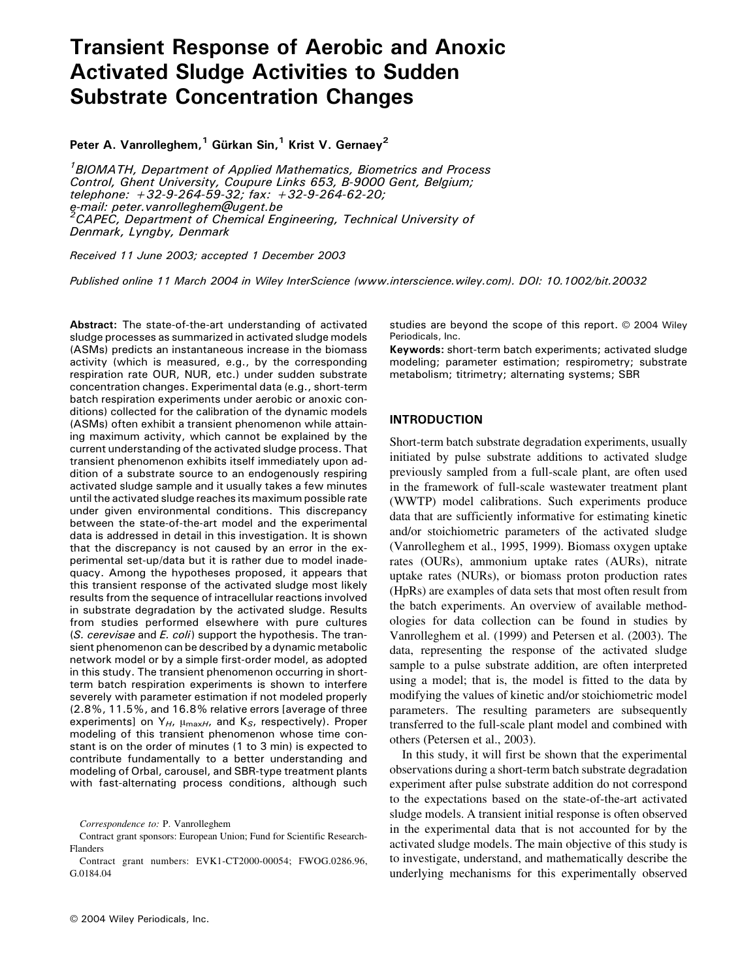# Transient Response of Aerobic and Anoxic Activated Sludge Activities to Sudden Substrate Concentration Changes

Peter A. Vanrolleghem,<sup>1</sup> Gürkan Sin,<sup>1</sup> Krist V. Gernaey<sup>2</sup>

<sup>1</sup> BIOMATH, Department of Applied Mathematics, Biometrics and Process Control, Ghent University, Coupure Links 653, B-9000 Gent, Belgium; telephone: <sup>+</sup>32-9-264-59-32; fax: <sup>+</sup>32-9-264-62-20; e-mail: peter.vanrolleghem@ugent.be <sup>2</sup> <sup>2</sup>CAPEC, Department of Chemical Engineering, Technical University of Denmark, Lyngby, Denmark

Received 11 June 2003; accepted 1 December 2003

Published online 11 March 2004 in Wiley InterScience (www.interscience.wiley.com). DOI: 10.1002/bit.20032

Abstract: The state-of-the-art understanding of activated sludge processes as summarized in activated sludge models (ASMs) predicts an instantaneous increase in the biomass activity (which is measured, e.g., by the corresponding respiration rate OUR, NUR, etc.) under sudden substrate concentration changes. Experimental data (e.g., short-term batch respiration experiments under aerobic or anoxic conditions) collected for the calibration of the dynamic models (ASMs) often exhibit a transient phenomenon while attaining maximum activity, which cannot be explained by the current understanding of the activated sludge process. That transient phenomenon exhibits itself immediately upon addition of a substrate source to an endogenously respiring activated sludge sample and it usually takes a few minutes until the activated sludge reaches its maximum possible rate under given environmental conditions. This discrepancy between the state-of-the-art model and the experimental data is addressed in detail in this investigation. It is shown that the discrepancy is not caused by an error in the experimental set-up/data but it is rather due to model inadequacy. Among the hypotheses proposed, it appears that this transient response of the activated sludge most likely results from the sequence of intracellular reactions involved in substrate degradation by the activated sludge. Results from studies performed elsewhere with pure cultures (S. cerevisae and E. coli) support the hypothesis. The transient phenomenon can be described by a dynamic metabolic network model or by a simple first-order model, as adopted in this study. The transient phenomenon occurring in shortterm batch respiration experiments is shown to interfere severely with parameter estimation if not modeled properly (2.8%, 11.5%, and 16.8% relative errors [average of three experiments] on  $Y_{H}$ ,  $\mu_{\text{maxH}}$ , and  $K_{S}$ , respectively). Proper modeling of this transient phenomenon whose time constant is on the order of minutes (1 to 3 min) is expected to contribute fundamentally to a better understanding and modeling of Orbal, carousel, and SBR-type treatment plants with fast-alternating process conditions, although such

Contract grant sponsors: European Union; Fund for Scientific Research-Flanders

studies are beyond the scope of this report. @ 2004 Wiley Periodicals, Inc.

Keywords: short-term batch experiments; activated sludge modeling; parameter estimation; respirometry; substrate metabolism; titrimetry; alternating systems; SBR

## INTRODUCTION

Short-term batch substrate degradation experiments, usually initiated by pulse substrate additions to activated sludge previously sampled from a full-scale plant, are often used in the framework of full-scale wastewater treatment plant (WWTP) model calibrations. Such experiments produce data that are sufficiently informative for estimating kinetic and/or stoichiometric parameters of the activated sludge (Vanrolleghem et al., 1995, 1999). Biomass oxygen uptake rates (OURs), ammonium uptake rates (AURs), nitrate uptake rates (NURs), or biomass proton production rates (HpRs) are examples of data sets that most often result from the batch experiments. An overview of available methodologies for data collection can be found in studies by Vanrolleghem et al. (1999) and Petersen et al. (2003). The data, representing the response of the activated sludge sample to a pulse substrate addition, are often interpreted using a model; that is, the model is fitted to the data by modifying the values of kinetic and/or stoichiometric model parameters. The resulting parameters are subsequently transferred to the full-scale plant model and combined with others (Petersen et al., 2003).

In this study, it will first be shown that the experimental observations during a short-term batch substrate degradation experiment after pulse substrate addition do not correspond to the expectations based on the state-of-the-art activated sludge models. A transient initial response is often observed in the experimental data that is not accounted for by the activated sludge models. The main objective of this study is to investigate, understand, and mathematically describe the underlying mechanisms for this experimentally observed

Correspondence to: P. Vanrolleghem

Contract grant numbers: EVK1-CT2000-00054; FWOG.0286.96, G.0184.04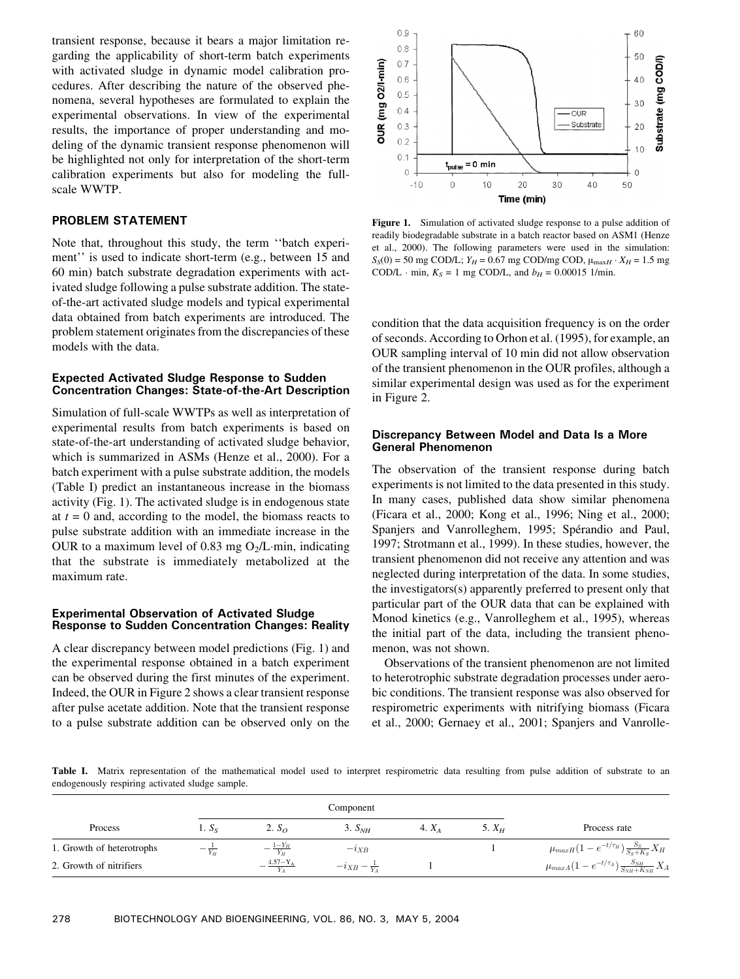transient response, because it bears a major limitation regarding the applicability of short-term batch experiments with activated sludge in dynamic model calibration procedures. After describing the nature of the observed phenomena, several hypotheses are formulated to explain the experimental observations. In view of the experimental results, the importance of proper understanding and modeling of the dynamic transient response phenomenon will be highlighted not only for interpretation of the short-term calibration experiments but also for modeling the fullscale WWTP.

# PROBLEM STATEMENT

Note that, throughout this study, the term ''batch experiment'' is used to indicate short-term (e.g., between 15 and 60 min) batch substrate degradation experiments with activated sludge following a pulse substrate addition. The stateof-the-art activated sludge models and typical experimental data obtained from batch experiments are introduced. The problem statement originates from the discrepancies of these models with the data.

## Expected Activated Sludge Response to Sudden Concentration Changes: State-of-the-Art Description

Simulation of full-scale WWTPs as well as interpretation of experimental results from batch experiments is based on state-of-the-art understanding of activated sludge behavior, which is summarized in ASMs (Henze et al., 2000). For a batch experiment with a pulse substrate addition, the models (Table I) predict an instantaneous increase in the biomass activity (Fig. 1). The activated sludge is in endogenous state at  $t = 0$  and, according to the model, the biomass reacts to pulse substrate addition with an immediate increase in the OUR to a maximum level of 0.83 mg  $O<sub>2</sub>/L$  min, indicating that the substrate is immediately metabolized at the maximum rate.

## Experimental Observation of Activated Sludge Response to Sudden Concentration Changes: Reality

A clear discrepancy between model predictions (Fig. 1) and the experimental response obtained in a batch experiment can be observed during the first minutes of the experiment. Indeed, the OUR in Figure 2 shows a clear transient response after pulse acetate addition. Note that the transient response to a pulse substrate addition can be observed only on the



Figure 1. Simulation of activated sludge response to a pulse addition of readily biodegradable substrate in a batch reactor based on ASM1 (Henze et al., 2000). The following parameters were used in the simulation:  $S_S(0) = 50$  mg COD/L;  $Y_H = 0.67$  mg COD/mg COD,  $\mu_{\text{max}} = Y_H = 1.5$  mg COD/L  $\cdot$  min,  $K_S = 1$  mg COD/L, and  $b_H = 0.00015$  1/min.

condition that the data acquisition frequency is on the order of seconds. According to Orhon et al. (1995), for example, an OUR sampling interval of 10 min did not allow observation of the transient phenomenon in the OUR profiles, although a similar experimental design was used as for the experiment in Figure 2.

## Discrepancy Between Model and Data Is a More General Phenomenon

The observation of the transient response during batch experiments is not limited to the data presented in this study. In many cases, published data show similar phenomena (Ficara et al., 2000; Kong et al., 1996; Ning et al., 2000; Spanjers and Vanrolleghem, 1995; Spérandio and Paul, 1997; Strotmann et al., 1999). In these studies, however, the transient phenomenon did not receive any attention and was neglected during interpretation of the data. In some studies, the investigators(s) apparently preferred to present only that particular part of the OUR data that can be explained with Monod kinetics (e.g., Vanrolleghem et al., 1995), whereas the initial part of the data, including the transient phenomenon, was not shown.

Observations of the transient phenomenon are not limited to heterotrophic substrate degradation processes under aerobic conditions. The transient response was also observed for respirometric experiments with nitrifying biomass (Ficara et al., 2000; Gernaey et al., 2001; Spanjers and Vanrolle-

Table I. Matrix representation of the mathematical model used to interpret respirometric data resulting from pulse addition of substrate to an endogenously respiring activated sludge sample.

| Process                   | 1. S <sub>s</sub> | 2. $S_{\Omega}$ | 3. S <sub>NH</sub>        | 4. $X4$ | 5. $X_H$ | Process rate                                                 |
|---------------------------|-------------------|-----------------|---------------------------|---------|----------|--------------------------------------------------------------|
| 1. Growth of heterotrophs | $Y_H$             | $1-Y_H$         | $-i_{XB}$                 |         |          | $\mu_{maxH}(1-e^{-t/\tau_H})\frac{S_S}{S_S+K_S}X_H$          |
| 2. Growth of nitrifiers   |                   | $4.57 - Y_A$    | $-i_{XB} - \frac{1}{Y_A}$ |         |          | $\mu_{maxA}(1-e^{-t/\tau_A})\frac{S_{NH}}{S_{NH}+K_{NH}}X_A$ |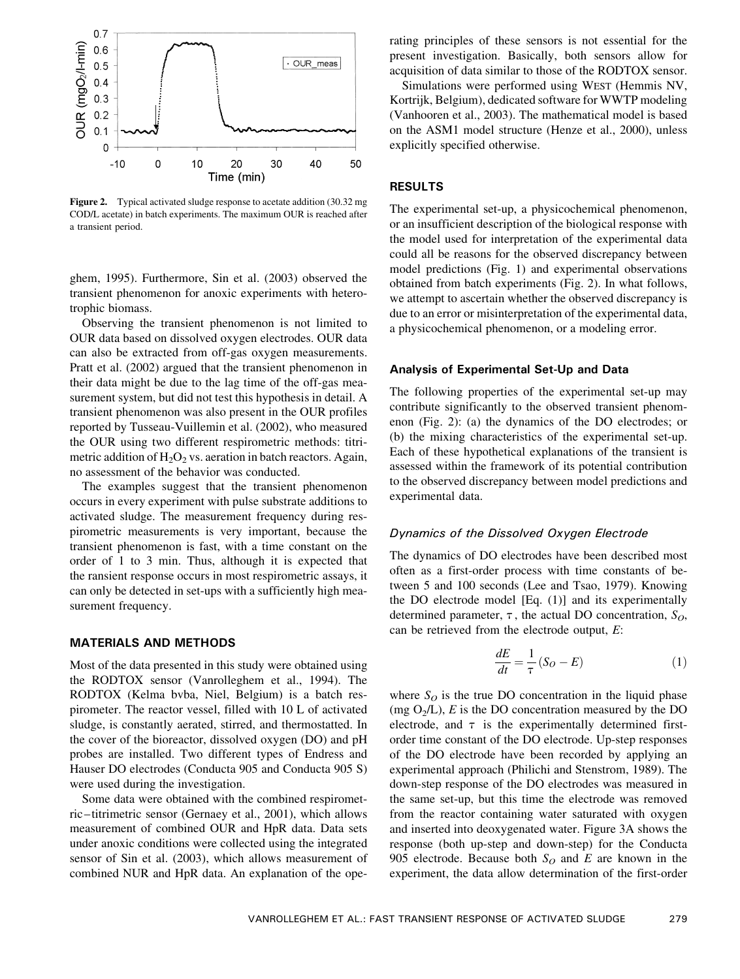

Figure 2. Typical activated sludge response to acetate addition (30.32 mg) COD/L acetate) in batch experiments. The maximum OUR is reached after a transient period.

ghem, 1995). Furthermore, Sin et al. (2003) observed the transient phenomenon for anoxic experiments with heterotrophic biomass.

Observing the transient phenomenon is not limited to OUR data based on dissolved oxygen electrodes. OUR data can also be extracted from off-gas oxygen measurements. Pratt et al. (2002) argued that the transient phenomenon in their data might be due to the lag time of the off-gas measurement system, but did not test this hypothesis in detail. A transient phenomenon was also present in the OUR profiles reported by Tusseau-Vuillemin et al. (2002), who measured the OUR using two different respirometric methods: titrimetric addition of  $H_2O_2$  vs. aeration in batch reactors. Again, no assessment of the behavior was conducted.

The examples suggest that the transient phenomenon occurs in every experiment with pulse substrate additions to activated sludge. The measurement frequency during respirometric measurements is very important, because the transient phenomenon is fast, with a time constant on the order of 1 to 3 min. Thus, although it is expected that the ransient response occurs in most respirometric assays, it can only be detected in set-ups with a sufficiently high measurement frequency.

## MATERIALS AND METHODS

Most of the data presented in this study were obtained using the RODTOX sensor (Vanrolleghem et al., 1994). The RODTOX (Kelma bvba, Niel, Belgium) is a batch respirometer. The reactor vessel, filled with 10 L of activated sludge, is constantly aerated, stirred, and thermostatted. In the cover of the bioreactor, dissolved oxygen (DO) and pH probes are installed. Two different types of Endress and Hauser DO electrodes (Conducta 905 and Conducta 905 S) were used during the investigation.

Some data were obtained with the combined respirometric –titrimetric sensor (Gernaey et al., 2001), which allows measurement of combined OUR and HpR data. Data sets under anoxic conditions were collected using the integrated sensor of Sin et al. (2003), which allows measurement of combined NUR and HpR data. An explanation of the operating principles of these sensors is not essential for the present investigation. Basically, both sensors allow for acquisition of data similar to those of the RODTOX sensor.

Simulations were performed using WEST (Hemmis NV, Kortrijk, Belgium), dedicated software for WWTP modeling (Vanhooren et al., 2003). The mathematical model is based on the ASM1 model structure (Henze et al., 2000), unless explicitly specified otherwise.

# RESULTS

The experimental set-up, a physicochemical phenomenon, or an insufficient description of the biological response with the model used for interpretation of the experimental data could all be reasons for the observed discrepancy between model predictions (Fig. 1) and experimental observations obtained from batch experiments (Fig. 2). In what follows, we attempt to ascertain whether the observed discrepancy is due to an error or misinterpretation of the experimental data, a physicochemical phenomenon, or a modeling error.

#### Analysis of Experimental Set-Up and Data

The following properties of the experimental set-up may contribute significantly to the observed transient phenomenon (Fig. 2): (a) the dynamics of the DO electrodes; or (b) the mixing characteristics of the experimental set-up. Each of these hypothetical explanations of the transient is assessed within the framework of its potential contribution to the observed discrepancy between model predictions and experimental data.

## Dynamics of the Dissolved Oxygen Electrode

The dynamics of DO electrodes have been described most often as a first-order process with time constants of between 5 and 100 seconds (Lee and Tsao, 1979). Knowing the DO electrode model [Eq. (1)] and its experimentally determined parameter,  $\tau$ , the actual DO concentration,  $S_O$ , can be retrieved from the electrode output, E:

$$
\frac{dE}{dt} = \frac{1}{\tau} (S_O - E) \tag{1}
$$

where  $S_O$  is the true DO concentration in the liquid phase (mg  $O<sub>2</sub>/L$ ), E is the DO concentration measured by the DO electrode, and  $\tau$  is the experimentally determined firstorder time constant of the DO electrode. Up-step responses of the DO electrode have been recorded by applying an experimental approach (Philichi and Stenstrom, 1989). The down-step response of the DO electrodes was measured in the same set-up, but this time the electrode was removed from the reactor containing water saturated with oxygen and inserted into deoxygenated water. Figure 3A shows the response (both up-step and down-step) for the Conducta 905 electrode. Because both  $S_O$  and E are known in the experiment, the data allow determination of the first-order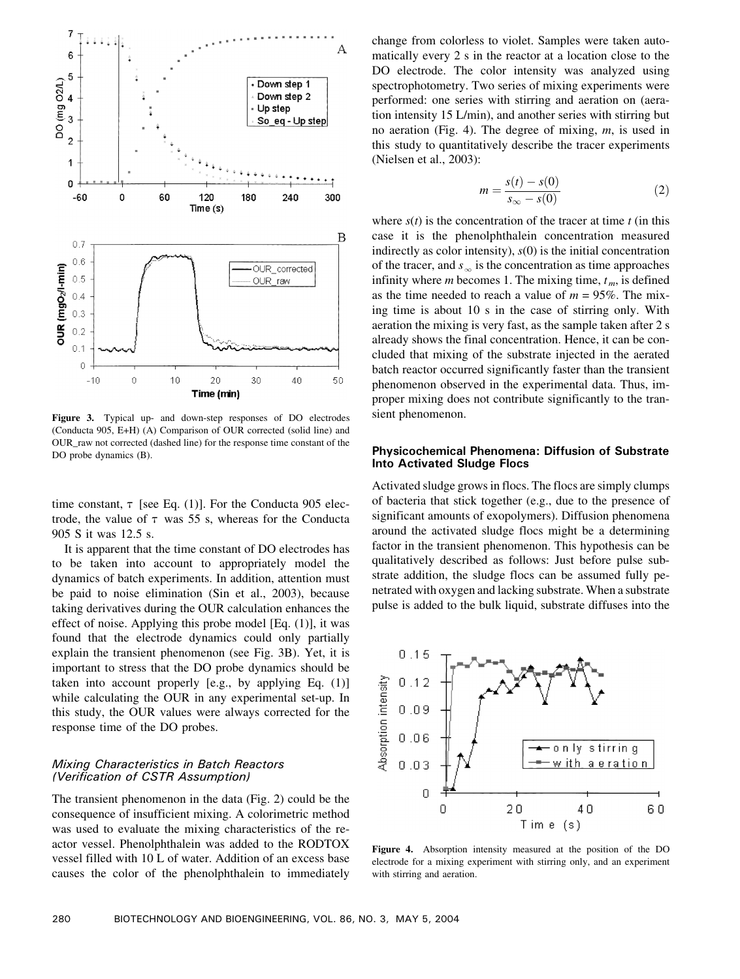

Figure 3. Typical up- and down-step responses of DO electrodes (Conducta 905, E+H) (A) Comparison of OUR corrected (solid line) and OUR\_raw not corrected (dashed line) for the response time constant of the DO probe dynamics (B).

time constant,  $\tau$  [see Eq. (1)]. For the Conducta 905 electrode, the value of  $\tau$  was 55 s, whereas for the Conducta 905 S it was 12.5 s.

It is apparent that the time constant of DO electrodes has to be taken into account to appropriately model the dynamics of batch experiments. In addition, attention must be paid to noise elimination (Sin et al., 2003), because taking derivatives during the OUR calculation enhances the effect of noise. Applying this probe model [Eq. (1)], it was found that the electrode dynamics could only partially explain the transient phenomenon (see Fig. 3B). Yet, it is important to stress that the DO probe dynamics should be taken into account properly [e.g., by applying Eq. (1)] while calculating the OUR in any experimental set-up. In this study, the OUR values were always corrected for the response time of the DO probes.

# Mixing Characteristics in Batch Reactors (Verification of CSTR Assumption)

The transient phenomenon in the data (Fig. 2) could be the consequence of insufficient mixing. A colorimetric method was used to evaluate the mixing characteristics of the reactor vessel. Phenolphthalein was added to the RODTOX vessel filled with 10 L of water. Addition of an excess base causes the color of the phenolphthalein to immediately

change from colorless to violet. Samples were taken automatically every 2 s in the reactor at a location close to the DO electrode. The color intensity was analyzed using spectrophotometry. Two series of mixing experiments were performed: one series with stirring and aeration on (aeration intensity 15 L/min), and another series with stirring but no aeration (Fig. 4). The degree of mixing,  $m$ , is used in this study to quantitatively describe the tracer experiments (Nielsen et al., 2003):

$$
m = \frac{s(t) - s(0)}{s_{\infty} - s(0)}
$$
 (2)

where  $s(t)$  is the concentration of the tracer at time t (in this case it is the phenolphthalein concentration measured indirectly as color intensity),  $s(0)$  is the initial concentration of the tracer, and  $s_{\infty}$  is the concentration as time approaches infinity where  $m$  becomes 1. The mixing time,  $t_m$ , is defined as the time needed to reach a value of  $m = 95\%$ . The mixing time is about 10 s in the case of stirring only. With aeration the mixing is very fast, as the sample taken after 2 s already shows the final concentration. Hence, it can be concluded that mixing of the substrate injected in the aerated batch reactor occurred significantly faster than the transient phenomenon observed in the experimental data. Thus, improper mixing does not contribute significantly to the transient phenomenon.

# Physicochemical Phenomena: Diffusion of Substrate Into Activated Sludge Flocs

Activated sludge grows in flocs. The flocs are simply clumps of bacteria that stick together (e.g., due to the presence of significant amounts of exopolymers). Diffusion phenomena around the activated sludge flocs might be a determining factor in the transient phenomenon. This hypothesis can be qualitatively described as follows: Just before pulse substrate addition, the sludge flocs can be assumed fully penetrated with oxygen and lacking substrate. When a substrate pulse is added to the bulk liquid, substrate diffuses into the



Figure 4. Absorption intensity measured at the position of the DO electrode for a mixing experiment with stirring only, and an experiment with stirring and aeration.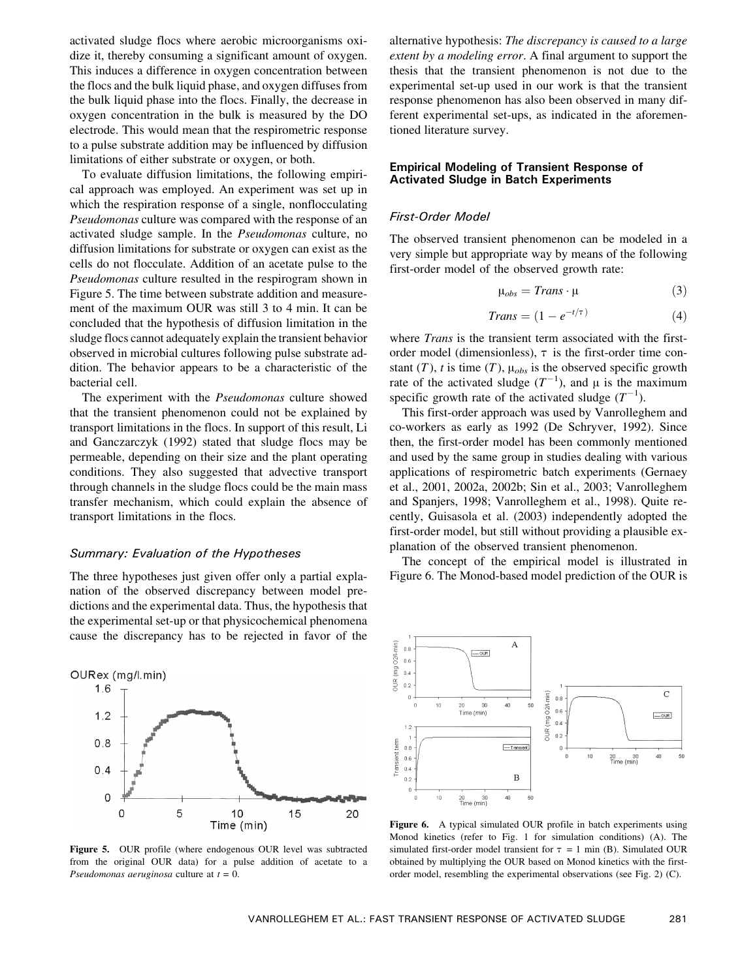activated sludge flocs where aerobic microorganisms oxidize it, thereby consuming a significant amount of oxygen. This induces a difference in oxygen concentration between the flocs and the bulk liquid phase, and oxygen diffuses from the bulk liquid phase into the flocs. Finally, the decrease in oxygen concentration in the bulk is measured by the DO electrode. This would mean that the respirometric response to a pulse substrate addition may be influenced by diffusion limitations of either substrate or oxygen, or both.

To evaluate diffusion limitations, the following empirical approach was employed. An experiment was set up in which the respiration response of a single, nonflocculating Pseudomonas culture was compared with the response of an activated sludge sample. In the Pseudomonas culture, no diffusion limitations for substrate or oxygen can exist as the cells do not flocculate. Addition of an acetate pulse to the Pseudomonas culture resulted in the respirogram shown in Figure 5. The time between substrate addition and measurement of the maximum OUR was still 3 to 4 min. It can be concluded that the hypothesis of diffusion limitation in the sludge flocs cannot adequately explain the transient behavior observed in microbial cultures following pulse substrate addition. The behavior appears to be a characteristic of the bacterial cell.

The experiment with the Pseudomonas culture showed that the transient phenomenon could not be explained by transport limitations in the flocs. In support of this result, Li and Ganczarczyk (1992) stated that sludge flocs may be permeable, depending on their size and the plant operating conditions. They also suggested that advective transport through channels in the sludge flocs could be the main mass transfer mechanism, which could explain the absence of transport limitations in the flocs.

#### Summary: Evaluation of the Hypotheses

The three hypotheses just given offer only a partial explanation of the observed discrepancy between model predictions and the experimental data. Thus, the hypothesis that the experimental set-up or that physicochemical phenomena cause the discrepancy has to be rejected in favor of the



Figure 5. OUR profile (where endogenous OUR level was subtracted from the original OUR data) for a pulse addition of acetate to a Pseudomonas aeruginosa culture at  $t = 0$ .

alternative hypothesis: The discrepancy is caused to a large extent by a modeling error. A final argument to support the thesis that the transient phenomenon is not due to the experimental set-up used in our work is that the transient response phenomenon has also been observed in many different experimental set-ups, as indicated in the aforementioned literature survey.

# Empirical Modeling of Transient Response of Activated Sludge in Batch Experiments

#### First-Order Model

The observed transient phenomenon can be modeled in a very simple but appropriate way by means of the following first-order model of the observed growth rate:

$$
\mu_{obs} = Trans \cdot \mu \tag{3}
$$

$$
Trans = (1 - e^{-t/\tau}) \tag{4}
$$

where *Trans* is the transient term associated with the firstorder model (dimensionless),  $\tau$  is the first-order time constant (T), t is time (T),  $\mu_{obs}$  is the observed specific growth rate of the activated sludge  $(T^{-1})$ , and  $\mu$  is the maximum specific growth rate of the activated sludge  $(T^{-1})$ .

This first-order approach was used by Vanrolleghem and co-workers as early as 1992 (De Schryver, 1992). Since then, the first-order model has been commonly mentioned and used by the same group in studies dealing with various applications of respirometric batch experiments (Gernaey et al., 2001, 2002a, 2002b; Sin et al., 2003; Vanrolleghem and Spanjers, 1998; Vanrolleghem et al., 1998). Quite recently, Guisasola et al. (2003) independently adopted the first-order model, but still without providing a plausible explanation of the observed transient phenomenon.

The concept of the empirical model is illustrated in Figure 6. The Monod-based model prediction of the OUR is



Figure 6. A typical simulated OUR profile in batch experiments using Monod kinetics (refer to Fig. 1 for simulation conditions) (A). The simulated first-order model transient for  $\tau = 1$  min (B). Simulated OUR obtained by multiplying the OUR based on Monod kinetics with the firstorder model, resembling the experimental observations (see Fig. 2) (C).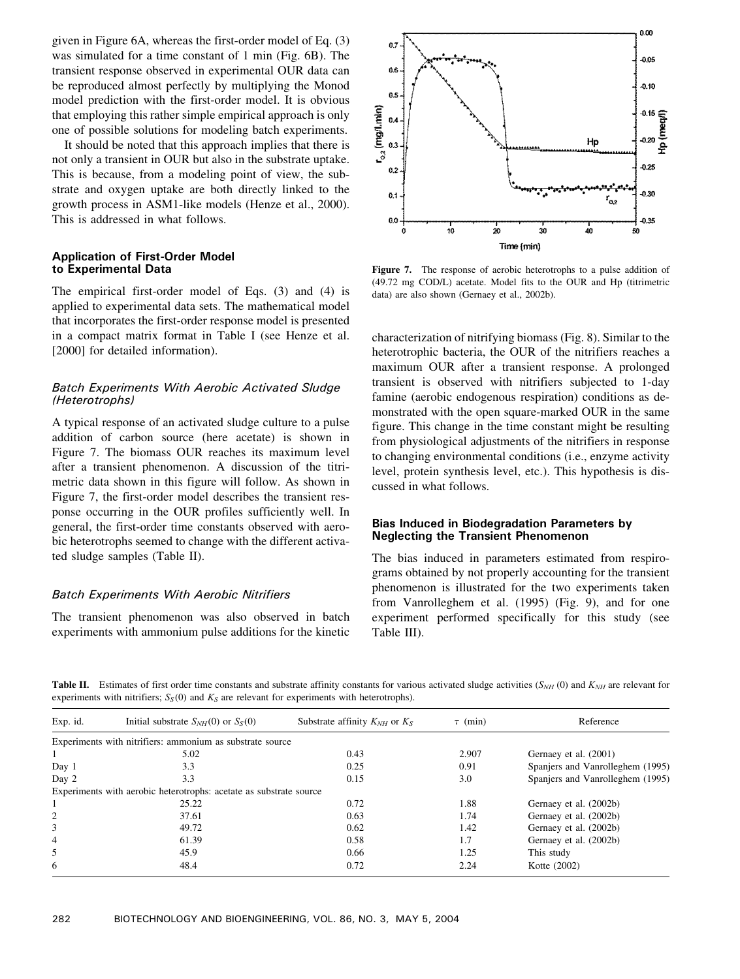given in Figure 6A, whereas the first-order model of Eq. (3) was simulated for a time constant of 1 min (Fig. 6B). The transient response observed in experimental OUR data can be reproduced almost perfectly by multiplying the Monod model prediction with the first-order model. It is obvious that employing this rather simple empirical approach is only one of possible solutions for modeling batch experiments.

It should be noted that this approach implies that there is not only a transient in OUR but also in the substrate uptake. This is because, from a modeling point of view, the substrate and oxygen uptake are both directly linked to the growth process in ASM1-like models (Henze et al., 2000). This is addressed in what follows.

# Application of First-Order Model to Experimental Data

The empirical first-order model of Eqs. (3) and (4) is applied to experimental data sets. The mathematical model that incorporates the first-order response model is presented in a compact matrix format in Table I (see Henze et al. [2000] for detailed information).

# Batch Experiments With Aerobic Activated Sludge (Heterotrophs)

A typical response of an activated sludge culture to a pulse addition of carbon source (here acetate) is shown in Figure 7. The biomass OUR reaches its maximum level after a transient phenomenon. A discussion of the titrimetric data shown in this figure will follow. As shown in Figure 7, the first-order model describes the transient response occurring in the OUR profiles sufficiently well. In general, the first-order time constants observed with aerobic heterotrophs seemed to change with the different activated sludge samples (Table II).

# Batch Experiments With Aerobic Nitrifiers

The transient phenomenon was also observed in batch experiments with ammonium pulse additions for the kinetic



Figure 7. The response of aerobic heterotrophs to a pulse addition of (49.72 mg COD/L) acetate. Model fits to the OUR and Hp (titrimetric data) are also shown (Gernaey et al., 2002b).

characterization of nitrifying biomass (Fig. 8). Similar to the heterotrophic bacteria, the OUR of the nitrifiers reaches a maximum OUR after a transient response. A prolonged transient is observed with nitrifiers subjected to 1-day famine (aerobic endogenous respiration) conditions as demonstrated with the open square-marked OUR in the same figure. This change in the time constant might be resulting from physiological adjustments of the nitrifiers in response to changing environmental conditions (i.e., enzyme activity level, protein synthesis level, etc.). This hypothesis is discussed in what follows.

# Bias Induced in Biodegradation Parameters by Neglecting the Transient Phenomenon

The bias induced in parameters estimated from respirograms obtained by not properly accounting for the transient phenomenon is illustrated for the two experiments taken from Vanrolleghem et al. (1995) (Fig. 9), and for one experiment performed specifically for this study (see Table III).

Table II. Estimates of first order time constants and substrate affinity constants for various activated sludge activities  $(S_{NH} (0)$  and  $K_{NH}$  are relevant for experiments with nitrifiers;  $S_S(0)$  and  $K_S$  are relevant for experiments with heterotrophs).

| Exp. id. | Initial substrate $S_{NH}(0)$ or $S_S(0)$                          | Substrate affinity $K_{NH}$ or $K_S$ | $\tau$ (min) | Reference                        |  |
|----------|--------------------------------------------------------------------|--------------------------------------|--------------|----------------------------------|--|
|          | Experiments with nitrifiers: ammonium as substrate source          |                                      |              |                                  |  |
|          | 5.02                                                               | 0.43                                 | 2.907        | Gernaey et al. (2001)            |  |
| Day 1    | 3.3                                                                | 0.25                                 | 0.91         | Spanjers and Vanrolleghem (1995) |  |
| Day 2    | 3.3                                                                | 0.15                                 | 3.0          | Spaniers and Vanrolleghem (1995) |  |
|          | Experiments with aerobic heterotrophs: acetate as substrate source |                                      |              |                                  |  |
|          | 25.22                                                              | 0.72                                 | 1.88         | Gernaey et al. (2002b)           |  |
| 2        | 37.61                                                              | 0.63                                 | 1.74         | Gernaey et al. (2002b)           |  |
| 3        | 49.72                                                              | 0.62                                 | 1.42         | Gernaey et al. (2002b)           |  |
| 4        | 61.39                                                              | 0.58                                 | 1.7          | Gernaey et al. (2002b)           |  |
| 5        | 45.9                                                               | 0.66                                 | 1.25         | This study                       |  |
| 6        | 48.4                                                               | 0.72                                 | 2.24         | Kotte (2002)                     |  |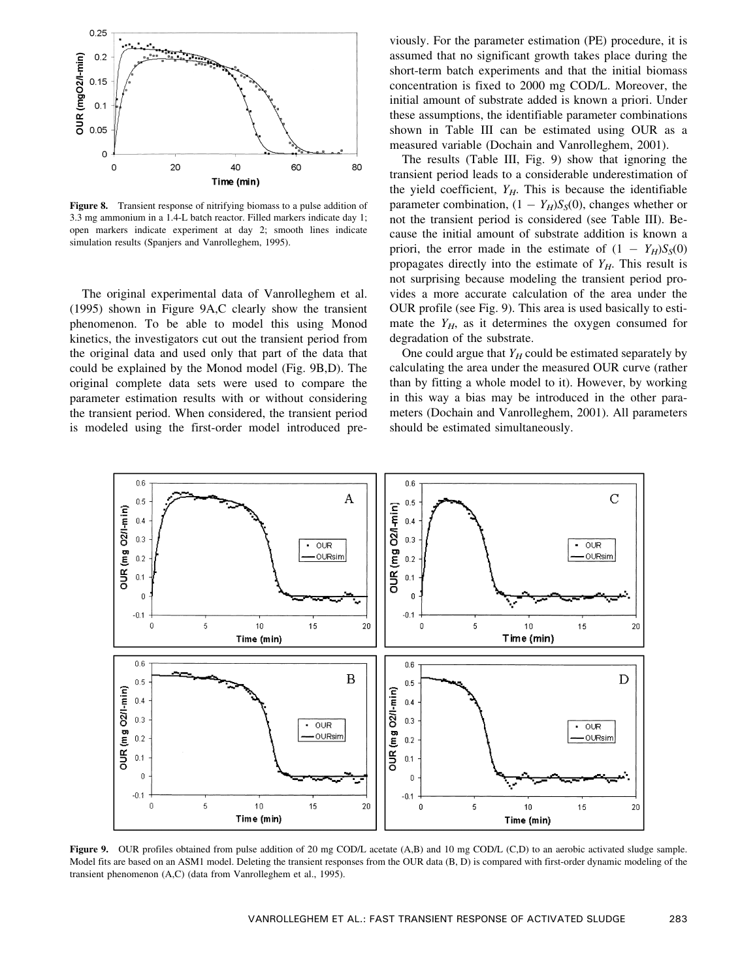

Figure 8. Transient response of nitrifying biomass to a pulse addition of 3.3 mg ammonium in a 1.4-L batch reactor. Filled markers indicate day 1; open markers indicate experiment at day 2; smooth lines indicate simulation results (Spanjers and Vanrolleghem, 1995).

The original experimental data of Vanrolleghem et al. (1995) shown in Figure 9A,C clearly show the transient phenomenon. To be able to model this using Monod kinetics, the investigators cut out the transient period from the original data and used only that part of the data that could be explained by the Monod model (Fig. 9B,D). The original complete data sets were used to compare the parameter estimation results with or without considering the transient period. When considered, the transient period is modeled using the first-order model introduced previously. For the parameter estimation (PE) procedure, it is assumed that no significant growth takes place during the short-term batch experiments and that the initial biomass concentration is fixed to 2000 mg COD/L. Moreover, the initial amount of substrate added is known a priori. Under these assumptions, the identifiable parameter combinations shown in Table III can be estimated using OUR as a measured variable (Dochain and Vanrolleghem, 2001).

The results (Table III, Fig. 9) show that ignoring the transient period leads to a considerable underestimation of the yield coefficient,  $Y_H$ . This is because the identifiable parameter combination,  $(1 - Y_H)S_S(0)$ , changes whether or not the transient period is considered (see Table III). Because the initial amount of substrate addition is known a priori, the error made in the estimate of  $(1 - Y_H)S_S(0)$ propagates directly into the estimate of  $Y_H$ . This result is not surprising because modeling the transient period provides a more accurate calculation of the area under the OUR profile (see Fig. 9). This area is used basically to estimate the  $Y_H$ , as it determines the oxygen consumed for degradation of the substrate.

One could argue that  $Y_H$  could be estimated separately by calculating the area under the measured OUR curve (rather than by fitting a whole model to it). However, by working in this way a bias may be introduced in the other parameters (Dochain and Vanrolleghem, 2001). All parameters should be estimated simultaneously.



Figure 9. OUR profiles obtained from pulse addition of 20 mg COD/L acetate (A,B) and 10 mg COD/L (C,D) to an aerobic activated sludge sample. Model fits are based on an ASM1 model. Deleting the transient responses from the OUR data (B, D) is compared with first-order dynamic modeling of the transient phenomenon (A,C) (data from Vanrolleghem et al., 1995).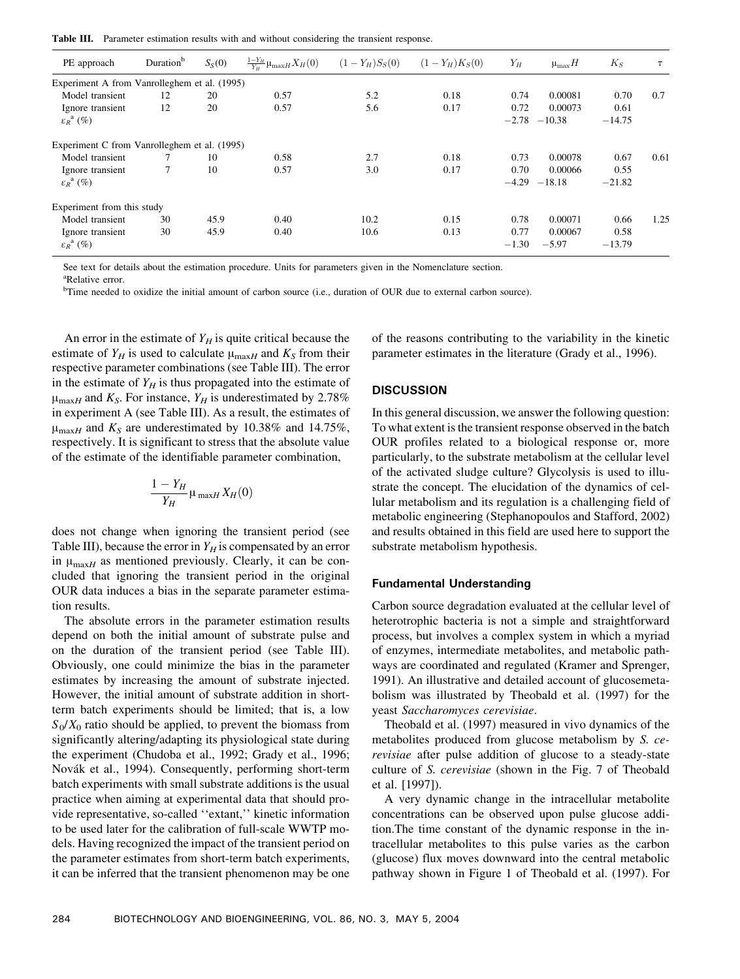Table III. Parameter estimation results with and without considering the transient response.

| PE approach                                      | Duration <sup>b</sup> | $S_S(0)$ | $\frac{1-Y_H}{Y_H}\mu_{\max H}X_H(0)$ | $(1 - Y_H)S_S(0)$ | $(1 - Y_H)K_S(0)$ | $Y_H$           | $\mu_{\max}H$       | $K_S$            |      |
|--------------------------------------------------|-----------------------|----------|---------------------------------------|-------------------|-------------------|-----------------|---------------------|------------------|------|
| Experiment A from Vanrolleghem et al. (1995)     |                       |          |                                       |                   |                   |                 |                     |                  |      |
| Model transient                                  | 12                    | 20       | 0.57                                  | 5.2               | 0.18              | 0.74            | 0.00081             | 0.70             | 0.7  |
| Ignore transient<br>$\varepsilon_R^{\ a}$ $(\%)$ | 12                    | 20       | 0.57                                  | 5.6               | 0.17              | 0.72<br>$-2.78$ | 0.00073<br>$-10.38$ | 0.61<br>$-14.75$ |      |
| Experiment C from Vanrolleghem et al. (1995)     |                       |          |                                       |                   |                   |                 |                     |                  |      |
| Model transient                                  |                       | 10       | 0.58                                  | 2.7               | 0.18              | 0.73            | 0.00078             | 0.67             | 0.61 |
| Ignore transient                                 |                       | 10       | 0.57                                  | 3.0               | 0.17              | 0.70            | 0.00066             | 0.55             |      |
| $\varepsilon_R^{\ a}$ (%)                        |                       |          |                                       |                   |                   | $-4.29$         | $-18.18$            | $-21.82$         |      |
| Experiment from this study                       |                       |          |                                       |                   |                   |                 |                     |                  |      |
| Model transient                                  | 30                    | 45.9     | 0.40                                  | 10.2              | 0.15              | 0.78            | 0.00071             | 0.66             | 1.25 |
| Ignore transient                                 | 30                    | 45.9     | 0.40                                  | 10.6              | 0.13              | 0.77            | 0.00067             | 0.58             |      |
| $\varepsilon_R^{\ a}$ (%)                        |                       |          |                                       |                   |                   | $-1.30$         | $-5.97$             | $-13.79$         |      |

See text for details about the estimation procedure. Units for parameters given in the Nomenclature section.

a Relative error.

<sup>b</sup>Time needed to oxidize the initial amount of carbon source (i.e., duration of OUR due to external carbon source).

An error in the estimate of  $Y_H$  is quite critical because the estimate of  $Y_H$  is used to calculate  $\mu_{\text{max}H}$  and  $K_S$  from their respective parameter combinations (see Table III). The error in the estimate of  $Y_H$  is thus propagated into the estimate of  $\mu_{\text{max}H}$  and  $K_S$ . For instance,  $Y_H$  is underestimated by 2.78% in experiment A (see Table III). As a result, the estimates of  $\mu_{\text{max}H}$  and  $K_s$  are underestimated by 10.38% and 14.75%, respectively. It is significant to stress that the absolute value of the estimate of the identifiable parameter combination,

$$
\frac{1-Y_H}{Y_H}\mu_{\max H}X_H(0)
$$

does not change when ignoring the transient period (see Table III), because the error in  $Y_H$  is compensated by an error in  $\mu_{\text{max}H}$  as mentioned previously. Clearly, it can be concluded that ignoring the transient period in the original OUR data induces a bias in the separate parameter estimation results.

The absolute errors in the parameter estimation results depend on both the initial amount of substrate pulse and on the duration of the transient period (see Table III). Obviously, one could minimize the bias in the parameter estimates by increasing the amount of substrate injected. However, the initial amount of substrate addition in shortterm batch experiments should be limited; that is, a low  $S_0/X_0$  ratio should be applied, to prevent the biomass from significantly altering/adapting its physiological state during the experiment (Chudoba et al., 1992; Grady et al., 1996; Novák et al., 1994). Consequently, performing short-term batch experiments with small substrate additions is the usual practice when aiming at experimental data that should provide representative, so-called ''extant,'' kinetic information to be used later for the calibration of full-scale WWTP models. Having recognized the impact of the transient period on the parameter estimates from short-term batch experiments, it can be inferred that the transient phenomenon may be one

of the reasons contributing to the variability in the kinetic parameter estimates in the literature (Grady et al., 1996).

## **DISCUSSION**

In this general discussion, we answer the following question: To what extent is the transient response observed in the batch OUR profiles related to a biological response or, more particularly, to the substrate metabolism at the cellular level of the activated sludge culture? Glycolysis is used to illustrate the concept. The elucidation of the dynamics of cellular metabolism and its regulation is a challenging field of metabolic engineering (Stephanopoulos and Stafford, 2002) and results obtained in this field are used here to support the substrate metabolism hypothesis.

#### Fundamental Understanding

Carbon source degradation evaluated at the cellular level of heterotrophic bacteria is not a simple and straightforward process, but involves a complex system in which a myriad of enzymes, intermediate metabolites, and metabolic pathways are coordinated and regulated (Kramer and Sprenger, 1991). An illustrative and detailed account of glucosemetabolism was illustrated by Theobald et al. (1997) for the yeast Saccharomyces cerevisiae.

Theobald et al. (1997) measured in vivo dynamics of the metabolites produced from glucose metabolism by S. cerevisiae after pulse addition of glucose to a steady-state culture of S. cerevisiae (shown in the Fig. 7 of Theobald et al. [1997]).

A very dynamic change in the intracellular metabolite concentrations can be observed upon pulse glucose addition.The time constant of the dynamic response in the intracellular metabolites to this pulse varies as the carbon (glucose) flux moves downward into the central metabolic pathway shown in Figure 1 of Theobald et al. (1997). For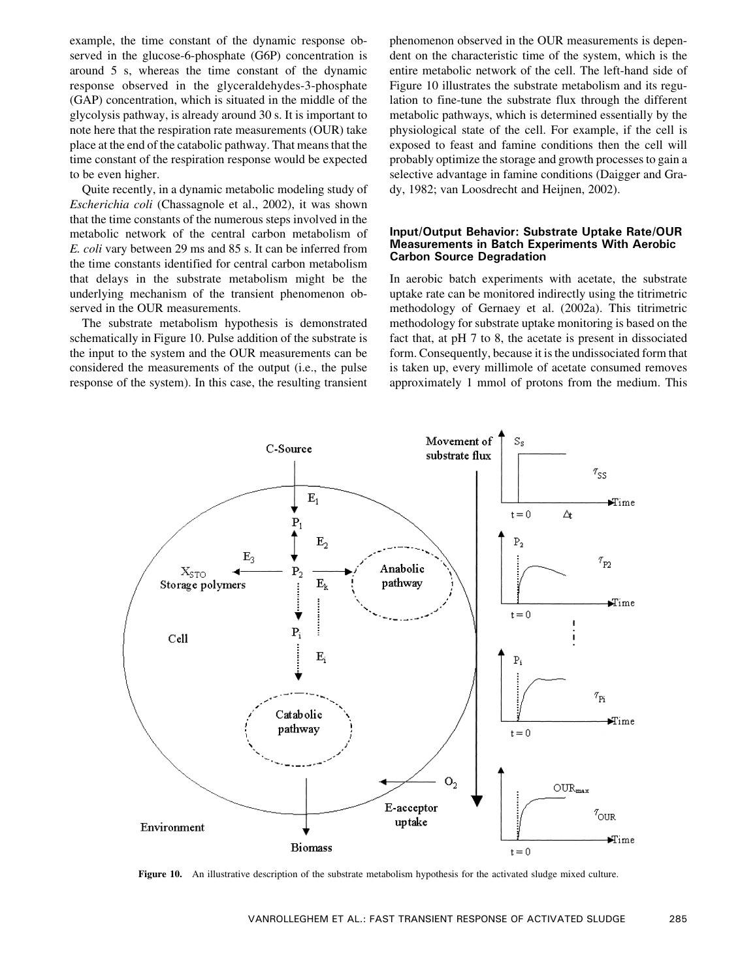example, the time constant of the dynamic response observed in the glucose-6-phosphate (G6P) concentration is around 5 s, whereas the time constant of the dynamic response observed in the glyceraldehydes-3-phosphate (GAP) concentration, which is situated in the middle of the glycolysis pathway, is already around 30 s. It is important to note here that the respiration rate measurements (OUR) take place at the end of the catabolic pathway. That means that the time constant of the respiration response would be expected to be even higher.

Quite recently, in a dynamic metabolic modeling study of Escherichia coli (Chassagnole et al., 2002), it was shown that the time constants of the numerous steps involved in the metabolic network of the central carbon metabolism of E. coli vary between 29 ms and 85 s. It can be inferred from the time constants identified for central carbon metabolism that delays in the substrate metabolism might be the underlying mechanism of the transient phenomenon observed in the OUR measurements.

The substrate metabolism hypothesis is demonstrated schematically in Figure 10. Pulse addition of the substrate is the input to the system and the OUR measurements can be considered the measurements of the output (i.e., the pulse response of the system). In this case, the resulting transient

phenomenon observed in the OUR measurements is dependent on the characteristic time of the system, which is the entire metabolic network of the cell. The left-hand side of Figure 10 illustrates the substrate metabolism and its regulation to fine-tune the substrate flux through the different metabolic pathways, which is determined essentially by the physiological state of the cell. For example, if the cell is exposed to feast and famine conditions then the cell will probably optimize the storage and growth processes to gain a selective advantage in famine conditions (Daigger and Grady, 1982; van Loosdrecht and Heijnen, 2002).

## Input/Output Behavior: Substrate Uptake Rate/OUR Measurements in Batch Experiments With Aerobic Carbon Source Degradation

In aerobic batch experiments with acetate, the substrate uptake rate can be monitored indirectly using the titrimetric methodology of Gernaey et al. (2002a). This titrimetric methodology for substrate uptake monitoring is based on the fact that, at pH 7 to 8, the acetate is present in dissociated form. Consequently, because it is the undissociated form that is taken up, every millimole of acetate consumed removes approximately 1 mmol of protons from the medium. This



Figure 10. An illustrative description of the substrate metabolism hypothesis for the activated sludge mixed culture.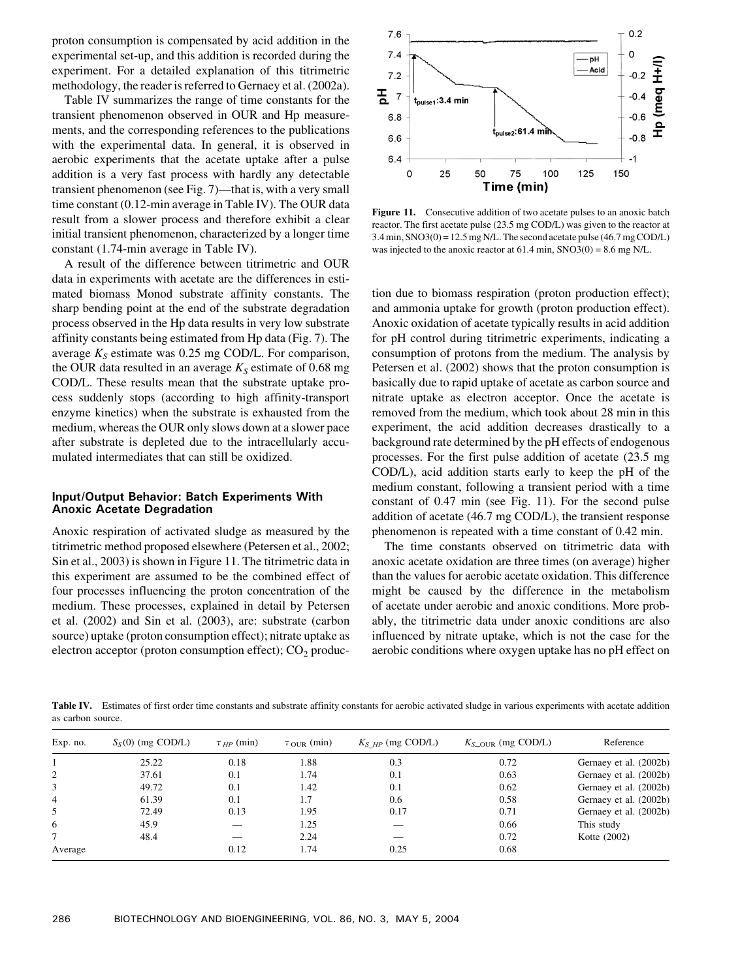proton consumption is compensated by acid addition in the experimental set-up, and this addition is recorded during the experiment. For a detailed explanation of this titrimetric methodology, the reader is referred to Gernaey et al. (2002a).

Table IV summarizes the range of time constants for the transient phenomenon observed in OUR and Hp measurements, and the corresponding references to the publications with the experimental data. In general, it is observed in aerobic experiments that the acetate uptake after a pulse addition is a very fast process with hardly any detectable transient phenomenon (see Fig. 7)—that is, with a very small time constant (0.12-min average in Table IV). The OUR data result from a slower process and therefore exhibit a clear initial transient phenomenon, characterized by a longer time constant (1.74-min average in Table IV).

A result of the difference between titrimetric and OUR data in experiments with acetate are the differences in estimated biomass Monod substrate affinity constants. The sharp bending point at the end of the substrate degradation process observed in the Hp data results in very low substrate affinity constants being estimated from Hp data (Fig. 7). The average  $K_S$  estimate was 0.25 mg COD/L. For comparison, the OUR data resulted in an average  $K<sub>S</sub>$  estimate of 0.68 mg COD/L. These results mean that the substrate uptake process suddenly stops (according to high affinity-transport enzyme kinetics) when the substrate is exhausted from the medium, whereas the OUR only slows down at a slower pace after substrate is depleted due to the intracellularly accumulated intermediates that can still be oxidized.

# Input/Output Behavior: Batch Experiments With Anoxic Acetate Degradation

Anoxic respiration of activated sludge as measured by the titrimetric method proposed elsewhere (Petersen et al., 2002; Sin et al., 2003) is shown in Figure 11. The titrimetric data in this experiment are assumed to be the combined effect of four processes influencing the proton concentration of the medium. These processes, explained in detail by Petersen et al. (2002) and Sin et al. (2003), are: substrate (carbon source) uptake (proton consumption effect); nitrate uptake as electron acceptor (proton consumption effect);  $CO<sub>2</sub>$  produc-



Figure 11. Consecutive addition of two acetate pulses to an anoxic batch reactor. The first acetate pulse (23.5 mg COD/L) was given to the reactor at  $3.4$  min, SNO $3(0) = 12.5$  mg N/L. The second acetate pulse (46.7 mg COD/L) was injected to the anoxic reactor at 61.4 min, SNO3(0) = 8.6 mg N/L.

tion due to biomass respiration (proton production effect); and ammonia uptake for growth (proton production effect). Anoxic oxidation of acetate typically results in acid addition for pH control during titrimetric experiments, indicating a consumption of protons from the medium. The analysis by Petersen et al. (2002) shows that the proton consumption is basically due to rapid uptake of acetate as carbon source and nitrate uptake as electron acceptor. Once the acetate is removed from the medium, which took about 28 min in this experiment, the acid addition decreases drastically to a background rate determined by the pH effects of endogenous processes. For the first pulse addition of acetate (23.5 mg COD/L), acid addition starts early to keep the pH of the medium constant, following a transient period with a time constant of 0.47 min (see Fig. 11). For the second pulse addition of acetate (46.7 mg COD/L), the transient response phenomenon is repeated with a time constant of 0.42 min.

The time constants observed on titrimetric data with anoxic acetate oxidation are three times (on average) higher than the values for aerobic acetate oxidation. This difference might be caused by the difference in the metabolism of acetate under aerobic and anoxic conditions. More probably, the titrimetric data under anoxic conditions are also influenced by nitrate uptake, which is not the case for the aerobic conditions where oxygen uptake has no pH effect on

Table IV. Estimates of first order time constants and substrate affinity constants for aerobic activated sludge in various experiments with acetate addition as carbon source.

| Exp. no.       | $S_S(0)$ (mg COD/L) | $\tau_{HP}$ (min) | $\tau_{\text{OUR}}$ (min) | $K_{S~HP}$ (mg COD/L) | $K_{S-OLR}$ (mg COD/L) | Reference              |
|----------------|---------------------|-------------------|---------------------------|-----------------------|------------------------|------------------------|
|                | 25.22               | 0.18              | 1.88                      | 0.3                   | 0.72                   | Gernaey et al. (2002b) |
| 2              | 37.61               | 0.1               | 1.74                      | 0.1                   | 0.63                   | Gernaey et al. (2002b) |
| 3              | 49.72               | 0.1               | 1.42                      | 0.1                   | 0.62                   | Gernaey et al. (2002b) |
| $\overline{4}$ | 61.39               | 0.1               | 1.7                       | 0.6                   | 0.58                   | Gernaey et al. (2002b) |
| 5              | 72.49               | 0.13              | 1.95                      | 0.17                  | 0.71                   | Gernaey et al. (2002b) |
| 6              | 45.9                |                   | 1.25                      |                       | 0.66                   | This study             |
|                | 48.4                |                   | 2.24                      |                       | 0.72                   | Kotte (2002)           |
| Average        |                     | 0.12              | 1.74                      | 0.25                  | 0.68                   |                        |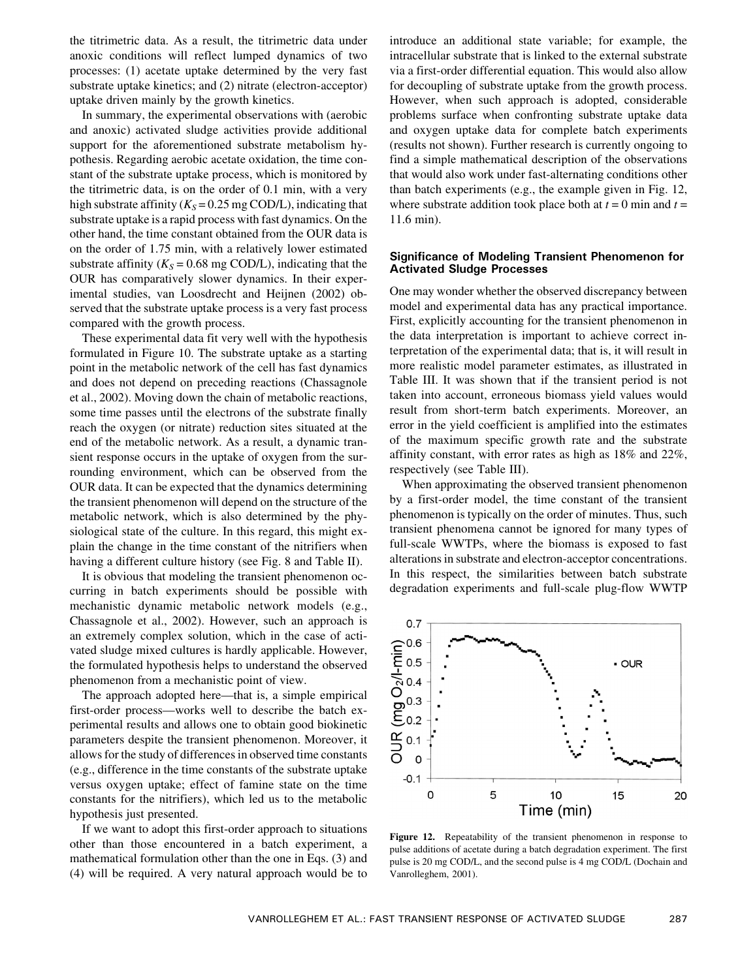the titrimetric data. As a result, the titrimetric data under anoxic conditions will reflect lumped dynamics of two processes: (1) acetate uptake determined by the very fast substrate uptake kinetics; and (2) nitrate (electron-acceptor) uptake driven mainly by the growth kinetics.

In summary, the experimental observations with (aerobic and anoxic) activated sludge activities provide additional support for the aforementioned substrate metabolism hypothesis. Regarding aerobic acetate oxidation, the time constant of the substrate uptake process, which is monitored by the titrimetric data, is on the order of 0.1 min, with a very high substrate affinity ( $K<sub>S</sub> = 0.25$  mg COD/L), indicating that substrate uptake is a rapid process with fast dynamics. On the other hand, the time constant obtained from the OUR data is on the order of 1.75 min, with a relatively lower estimated substrate affinity ( $K_S = 0.68$  mg COD/L), indicating that the OUR has comparatively slower dynamics. In their experimental studies, van Loosdrecht and Heijnen (2002) observed that the substrate uptake process is a very fast process compared with the growth process.

These experimental data fit very well with the hypothesis formulated in Figure 10. The substrate uptake as a starting point in the metabolic network of the cell has fast dynamics and does not depend on preceding reactions (Chassagnole et al., 2002). Moving down the chain of metabolic reactions, some time passes until the electrons of the substrate finally reach the oxygen (or nitrate) reduction sites situated at the end of the metabolic network. As a result, a dynamic transient response occurs in the uptake of oxygen from the surrounding environment, which can be observed from the OUR data. It can be expected that the dynamics determining the transient phenomenon will depend on the structure of the metabolic network, which is also determined by the physiological state of the culture. In this regard, this might explain the change in the time constant of the nitrifiers when having a different culture history (see Fig. 8 and Table II).

It is obvious that modeling the transient phenomenon occurring in batch experiments should be possible with mechanistic dynamic metabolic network models (e.g., Chassagnole et al., 2002). However, such an approach is an extremely complex solution, which in the case of activated sludge mixed cultures is hardly applicable. However, the formulated hypothesis helps to understand the observed phenomenon from a mechanistic point of view.

The approach adopted here—that is, a simple empirical first-order process—works well to describe the batch experimental results and allows one to obtain good biokinetic parameters despite the transient phenomenon. Moreover, it allows for the study of differences in observed time constants (e.g., difference in the time constants of the substrate uptake versus oxygen uptake; effect of famine state on the time constants for the nitrifiers), which led us to the metabolic hypothesis just presented.

If we want to adopt this first-order approach to situations other than those encountered in a batch experiment, a mathematical formulation other than the one in Eqs. (3) and (4) will be required. A very natural approach would be to

introduce an additional state variable; for example, the intracellular substrate that is linked to the external substrate via a first-order differential equation. This would also allow for decoupling of substrate uptake from the growth process. However, when such approach is adopted, considerable problems surface when confronting substrate uptake data and oxygen uptake data for complete batch experiments (results not shown). Further research is currently ongoing to find a simple mathematical description of the observations that would also work under fast-alternating conditions other than batch experiments (e.g., the example given in Fig. 12, where substrate addition took place both at  $t = 0$  min and  $t =$ 11.6 min).

# Significance of Modeling Transient Phenomenon for Activated Sludge Processes

One may wonder whether the observed discrepancy between model and experimental data has any practical importance. First, explicitly accounting for the transient phenomenon in the data interpretation is important to achieve correct interpretation of the experimental data; that is, it will result in more realistic model parameter estimates, as illustrated in Table III. It was shown that if the transient period is not taken into account, erroneous biomass yield values would result from short-term batch experiments. Moreover, an error in the yield coefficient is amplified into the estimates of the maximum specific growth rate and the substrate affinity constant, with error rates as high as 18% and 22%, respectively (see Table III).

When approximating the observed transient phenomenon by a first-order model, the time constant of the transient phenomenon is typically on the order of minutes. Thus, such transient phenomena cannot be ignored for many types of full-scale WWTPs, where the biomass is exposed to fast alterations in substrate and electron-acceptor concentrations. In this respect, the similarities between batch substrate degradation experiments and full-scale plug-flow WWTP



Figure 12. Repeatability of the transient phenomenon in response to pulse additions of acetate during a batch degradation experiment. The first pulse is 20 mg COD/L, and the second pulse is 4 mg COD/L (Dochain and Vanrolleghem, 2001).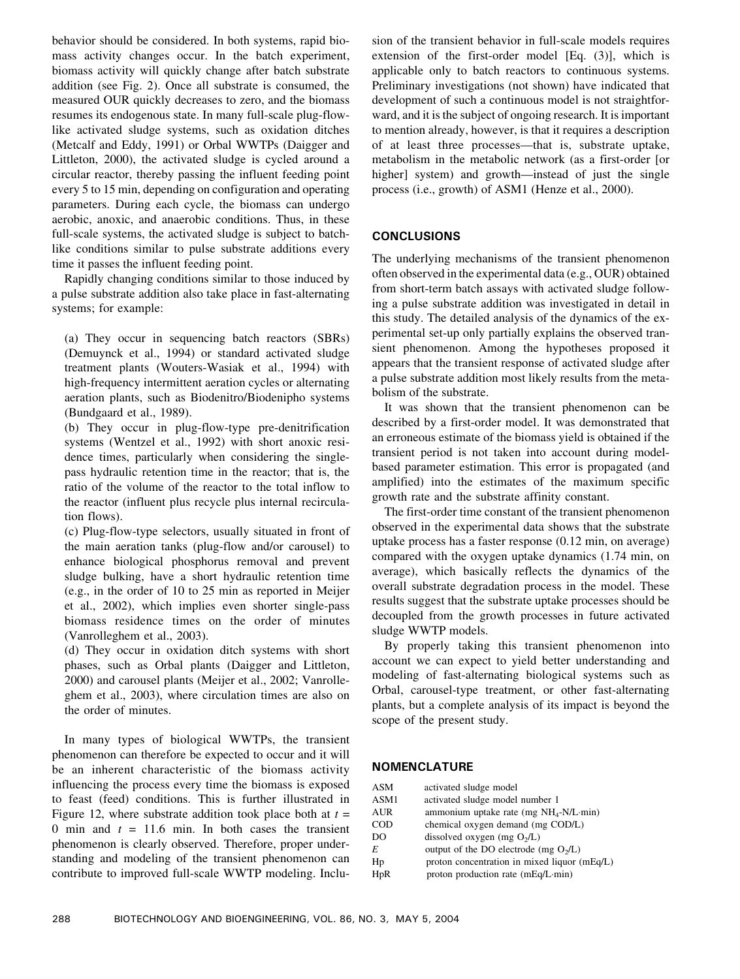behavior should be considered. In both systems, rapid biomass activity changes occur. In the batch experiment, biomass activity will quickly change after batch substrate addition (see Fig. 2). Once all substrate is consumed, the measured OUR quickly decreases to zero, and the biomass resumes its endogenous state. In many full-scale plug-flowlike activated sludge systems, such as oxidation ditches (Metcalf and Eddy, 1991) or Orbal WWTPs (Daigger and Littleton, 2000), the activated sludge is cycled around a circular reactor, thereby passing the influent feeding point every 5 to 15 min, depending on configuration and operating parameters. During each cycle, the biomass can undergo aerobic, anoxic, and anaerobic conditions. Thus, in these full-scale systems, the activated sludge is subject to batchlike conditions similar to pulse substrate additions every time it passes the influent feeding point.

Rapidly changing conditions similar to those induced by a pulse substrate addition also take place in fast-alternating systems; for example:

(a) They occur in sequencing batch reactors (SBRs) (Demuynck et al., 1994) or standard activated sludge treatment plants (Wouters-Wasiak et al., 1994) with high-frequency intermittent aeration cycles or alternating aeration plants, such as Biodenitro/Biodenipho systems (Bundgaard et al., 1989).

(b) They occur in plug-flow-type pre-denitrification systems (Wentzel et al., 1992) with short anoxic residence times, particularly when considering the singlepass hydraulic retention time in the reactor; that is, the ratio of the volume of the reactor to the total inflow to the reactor (influent plus recycle plus internal recirculation flows).

(c) Plug-flow-type selectors, usually situated in front of the main aeration tanks (plug-flow and/or carousel) to enhance biological phosphorus removal and prevent sludge bulking, have a short hydraulic retention time (e.g., in the order of 10 to 25 min as reported in Meijer et al., 2002), which implies even shorter single-pass biomass residence times on the order of minutes (Vanrolleghem et al., 2003).

(d) They occur in oxidation ditch systems with short phases, such as Orbal plants (Daigger and Littleton, 2000) and carousel plants (Meijer et al., 2002; Vanrolleghem et al., 2003), where circulation times are also on the order of minutes.

In many types of biological WWTPs, the transient phenomenon can therefore be expected to occur and it will be an inherent characteristic of the biomass activity influencing the process every time the biomass is exposed to feast (feed) conditions. This is further illustrated in Figure 12, where substrate addition took place both at  $t =$ 0 min and  $t = 11.6$  min. In both cases the transient phenomenon is clearly observed. Therefore, proper understanding and modeling of the transient phenomenon can contribute to improved full-scale WWTP modeling. Inclusion of the transient behavior in full-scale models requires extension of the first-order model [Eq. (3)], which is applicable only to batch reactors to continuous systems. Preliminary investigations (not shown) have indicated that development of such a continuous model is not straightforward, and it is the subject of ongoing research. It is important to mention already, however, is that it requires a description of at least three processes—that is, substrate uptake, metabolism in the metabolic network (as a first-order [or higher] system) and growth—instead of just the single process (i.e., growth) of ASM1 (Henze et al., 2000).

# **CONCLUSIONS**

The underlying mechanisms of the transient phenomenon often observed in the experimental data (e.g., OUR) obtained from short-term batch assays with activated sludge following a pulse substrate addition was investigated in detail in this study. The detailed analysis of the dynamics of the experimental set-up only partially explains the observed transient phenomenon. Among the hypotheses proposed it appears that the transient response of activated sludge after a pulse substrate addition most likely results from the metabolism of the substrate.

It was shown that the transient phenomenon can be described by a first-order model. It was demonstrated that an erroneous estimate of the biomass yield is obtained if the transient period is not taken into account during modelbased parameter estimation. This error is propagated (and amplified) into the estimates of the maximum specific growth rate and the substrate affinity constant.

The first-order time constant of the transient phenomenon observed in the experimental data shows that the substrate uptake process has a faster response (0.12 min, on average) compared with the oxygen uptake dynamics (1.74 min, on average), which basically reflects the dynamics of the overall substrate degradation process in the model. These results suggest that the substrate uptake processes should be decoupled from the growth processes in future activated sludge WWTP models.

By properly taking this transient phenomenon into account we can expect to yield better understanding and modeling of fast-alternating biological systems such as Orbal, carousel-type treatment, or other fast-alternating plants, but a complete analysis of its impact is beyond the scope of the present study.

## **NOMENCLATURE**

| ASM  | activated sludge model                          |
|------|-------------------------------------------------|
| ASM1 | activated sludge model number 1                 |
| AUR  | ammonium uptake rate (mg $NH_4-N/L \cdot min$ ) |
| COD  | chemical oxygen demand (mg COD/L)               |
| DO   | dissolved oxygen (mg $O_2/L$ )                  |
| E    | output of the DO electrode (mg $O_2/L$ )        |
| Hp   | proton concentration in mixed liquor (mEq/L)    |
| HpR  | proton production rate (mEq/L·min)              |
|      |                                                 |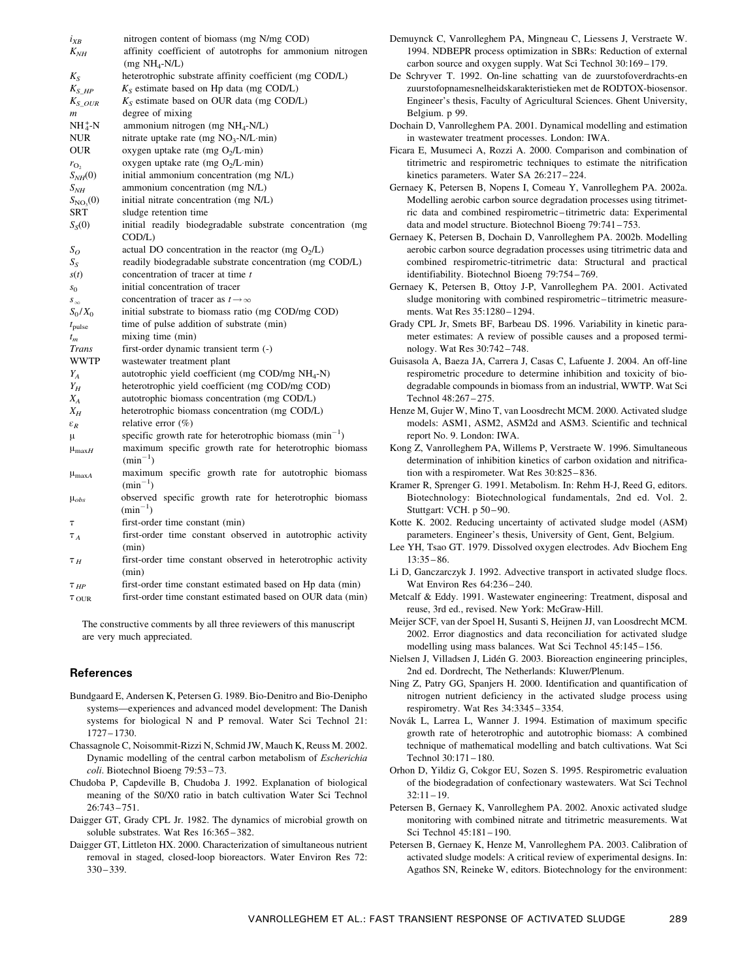| $i_{XB}$            | nitrogen content of biomass (mg N/mg COD)                          |
|---------------------|--------------------------------------------------------------------|
| $K_{NH}$            | affinity coefficient of autotrophs for ammonium nitrogen           |
|                     | $(mg NH_4-N/L)$                                                    |
| $K_{S}$             | heterotrophic substrate affinity coefficient (mg COD/L)            |
| $K_{S\_HP}$         | $K_S$ estimate based on Hp data (mg COD/L)                         |
| $K_S$ our           | $K_S$ estimate based on OUR data (mg COD/L)                        |
| m                   | degree of mixing                                                   |
| $NH_4^+$ -N         | ammonium nitrogen (mg NH <sub>4</sub> -N/L)                        |
| <b>NUR</b>          | nitrate uptake rate (mg $NO_3$ -N/L·min)                           |
| <b>OUR</b>          | oxygen uptake rate (mg O <sub>2</sub> /L·min)                      |
|                     | oxygen uptake rate (mg $O_2/L$ ·min)                               |
| $r_{\rm O,}$        |                                                                    |
| $S_{NH}(0)$         | initial ammonium concentration (mg N/L)                            |
| $S_{NH}$            | ammonium concentration (mg N/L)                                    |
| $S_{NO_3}(0)$       | initial nitrate concentration (mg N/L)                             |
| SRT                 | sludge retention time                                              |
| $S_S(0)$            | initial readily biodegradable substrate concentration (mg          |
|                     | COD/L)                                                             |
| $S_O$               | actual DO concentration in the reactor (mg $O_2/L$ )               |
| $S_{S}$             | readily biodegradable substrate concentration (mg COD/L)           |
| s(t)                | concentration of tracer at time t                                  |
| $S_{0}$             | initial concentration of tracer                                    |
| $S_{\infty}$        | concentration of tracer as $t \rightarrow \infty$                  |
| $S_0/X_0$           | initial substrate to biomass ratio (mg COD/mg COD)                 |
| $t_{\text{pulse}}$  | time of pulse addition of substrate (min)                          |
| $t_m$               | mixing time (min)                                                  |
| <b>Trans</b>        | first-order dynamic transient term (-)                             |
| <b>WWTP</b>         | wastewater treatment plant                                         |
| $Y_A$               | autotrophic yield coefficient (mg COD/mg NH <sub>4</sub> -N)       |
| $Y_H$               | heterotrophic yield coefficient (mg COD/mg COD)                    |
| $X_A$               | autotrophic biomass concentration (mg COD/L)                       |
| $X_H$               | heterotrophic biomass concentration (mg COD/L)                     |
| $\varepsilon_R$     | relative error (%)                                                 |
| μ                   | specific growth rate for heterotrophic biomass $(\text{min}^{-1})$ |
| $\mu_{\text{max}H}$ | maximum specific growth rate for heterotrophic biomass             |
|                     | $(min^{-1})$                                                       |
|                     | maximum specific growth rate for autotrophic biomass               |
| $\mu_{\text{max}A}$ | $(min^{-1})$                                                       |
|                     | observed specific growth rate for heterotrophic biomass            |
| $\mu_{obs}$         | $(min^{-1})$                                                       |
|                     |                                                                    |
| т                   | first-order time constant (min)                                    |
| $T_A$               | first-order time constant observed in autotrophic activity         |
|                     | (min)                                                              |
| $\tau$ <sub>H</sub> | first-order time constant observed in heterotrophic activity       |
|                     | (min)                                                              |
| $T$ HP              | first-order time constant estimated based on Hp data (min)         |
| $\tau_{\text{OUR}}$ | first-order time constant estimated based on OUR data (min)        |

The constructive comments by all three reviewers of this manuscript are very much appreciated.

## References

- Bundgaard E, Andersen K, Petersen G. 1989. Bio-Denitro and Bio-Denipho systems—experiences and advanced model development: The Danish systems for biological N and P removal. Water Sci Technol 21: 1727 – 1730.
- Chassagnole C, Noisommit-Rizzi N, Schmid JW, Mauch K, Reuss M. 2002. Dynamic modelling of the central carbon metabolism of Escherichia coli. Biotechnol Bioeng 79:53 – 73.
- Chudoba P, Capdeville B, Chudoba J. 1992. Explanation of biological meaning of the S0/X0 ratio in batch cultivation Water Sci Technol 26:743 – 751.
- Daigger GT, Grady CPL Jr. 1982. The dynamics of microbial growth on soluble substrates. Wat Res 16:365 – 382.
- Daigger GT, Littleton HX. 2000. Characterization of simultaneous nutrient removal in staged, closed-loop bioreactors. Water Environ Res 72:  $330 - 339.$
- Demuynck C, Vanrolleghem PA, Mingneau C, Liessens J, Verstraete W. 1994. NDBEPR process optimization in SBRs: Reduction of external carbon source and oxygen supply. Wat Sci Technol 30:169 – 179.
- De Schryver T. 1992. On-line schatting van de zuurstofoverdrachts-en zuurstofopnamesnelheidskarakteristieken met de RODTOX-biosensor. Engineer's thesis, Faculty of Agricultural Sciences. Ghent University, Belgium. p 99.
- Dochain D, Vanrolleghem PA. 2001. Dynamical modelling and estimation in wastewater treatment processes. London: IWA.
- Ficara E, Musumeci A, Rozzi A. 2000. Comparison and combination of titrimetric and respirometric techniques to estimate the nitrification kinetics parameters. Water SA 26:217 – 224.
- Gernaey K, Petersen B, Nopens I, Comeau Y, Vanrolleghem PA. 2002a. Modelling aerobic carbon source degradation processes using titrimetric data and combined respirometric –titrimetric data: Experimental data and model structure. Biotechnol Bioeng 79:741 – 753.
- Gernaey K, Petersen B, Dochain D, Vanrolleghem PA. 2002b. Modelling aerobic carbon source degradation processes using titrimetric data and combined respirometric-titrimetric data: Structural and practical identifiability. Biotechnol Bioeng 79:754 – 769.
- Gernaey K, Petersen B, Ottoy J-P, Vanrolleghem PA. 2001. Activated sludge monitoring with combined respirometric-titrimetric measurements. Wat Res 35:1280-1294.
- Grady CPL Jr, Smets BF, Barbeau DS. 1996. Variability in kinetic parameter estimates: A review of possible causes and a proposed terminology. Wat Res 30:742 – 748.
- Guisasola A, Baeza JA, Carrera J, Casas C, Lafuente J. 2004. An off-line respirometric procedure to determine inhibition and toxicity of biodegradable compounds in biomass from an industrial, WWTP. Wat Sci Technol 48:267 – 275.
- Henze M, Gujer W, Mino T, van Loosdrecht MCM. 2000. Activated sludge models: ASM1, ASM2, ASM2d and ASM3. Scientific and technical report No. 9. London: IWA.
- Kong Z, Vanrolleghem PA, Willems P, Verstraete W. 1996. Simultaneous determination of inhibition kinetics of carbon oxidation and nitrification with a respirometer. Wat Res 30:825 – 836.
- Kramer R, Sprenger G. 1991. Metabolism. In: Rehm H-J, Reed G, editors. Biotechnology: Biotechnological fundamentals, 2nd ed. Vol. 2. Stuttgart: VCH. p 50-90.
- Kotte K. 2002. Reducing uncertainty of activated sludge model (ASM) parameters. Engineer's thesis, University of Gent, Gent, Belgium.
- Lee YH, Tsao GT. 1979. Dissolved oxygen electrodes. Adv Biochem Eng  $13:35 - 86.$
- Li D, Ganczarczyk J. 1992. Advective transport in activated sludge flocs. Wat Environ Res 64:236 – 240.
- Metcalf & Eddy. 1991. Wastewater engineering: Treatment, disposal and reuse, 3rd ed., revised. New York: McGraw-Hill.
- Meijer SCF, van der Spoel H, Susanti S, Heijnen JJ, van Loosdrecht MCM. 2002. Error diagnostics and data reconciliation for activated sludge modelling using mass balances. Wat Sci Technol 45:145 – 156.
- Nielsen J, Villadsen J, Lidén G. 2003. Bioreaction engineering principles, 2nd ed. Dordrecht, The Netherlands: Kluwer/Plenum.
- Ning Z, Patry GG, Spanjers H. 2000. Identification and quantification of nitrogen nutrient deficiency in the activated sludge process using respirometry. Wat Res 34:3345 – 3354.
- Novák L, Larrea L, Wanner J. 1994. Estimation of maximum specific growth rate of heterotrophic and autotrophic biomass: A combined technique of mathematical modelling and batch cultivations. Wat Sci Technol 30:171 – 180.
- Orhon D, Yildiz G, Cokgor EU, Sozen S. 1995. Respirometric evaluation of the biodegradation of confectionary wastewaters. Wat Sci Technol  $32:11 - 19.$
- Petersen B, Gernaey K, Vanrolleghem PA. 2002. Anoxic activated sludge monitoring with combined nitrate and titrimetric measurements. Wat Sci Technol 45:181 – 190.
- Petersen B, Gernaey K, Henze M, Vanrolleghem PA. 2003. Calibration of activated sludge models: A critical review of experimental designs. In: Agathos SN, Reineke W, editors. Biotechnology for the environment: